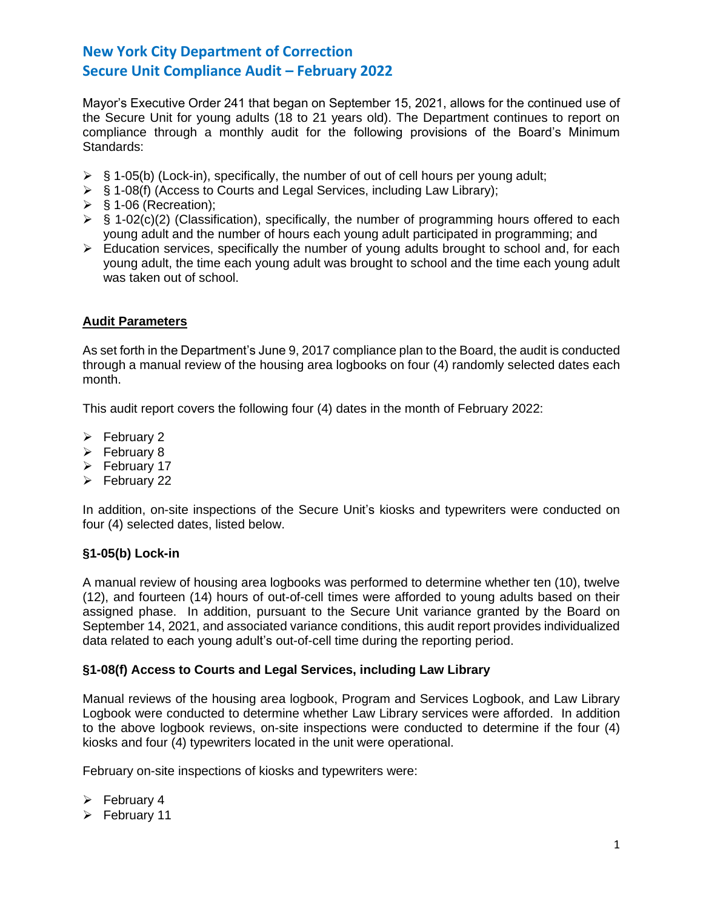Mayor's Executive Order 241 that began on September 15, 2021, allows for the continued use of the Secure Unit for young adults (18 to 21 years old). The Department continues to report on compliance through a monthly audit for the following provisions of the Board's Minimum Standards:

- $\triangleright$  § 1-05(b) (Lock-in), specifically, the number of out of cell hours per young adult;
- ➢ § 1-08(f) (Access to Courts and Legal Services, including Law Library);
- $\triangleright$  § 1-06 (Recreation);
- $\triangleright$  § 1-02(c)(2) (Classification), specifically, the number of programming hours offered to each young adult and the number of hours each young adult participated in programming; and
- $\triangleright$  Education services, specifically the number of young adults brought to school and, for each young adult, the time each young adult was brought to school and the time each young adult was taken out of school.

## **Audit Parameters**

As set forth in the Department's June 9, 2017 compliance plan to the Board, the audit is conducted through a manual review of the housing area logbooks on four (4) randomly selected dates each month.

This audit report covers the following four (4) dates in the month of February 2022:

- ➢ February 2
- ➢ February 8
- ➢ February 17
- ➢ February 22

In addition, on-site inspections of the Secure Unit's kiosks and typewriters were conducted on four (4) selected dates, listed below.

## **§1-05(b) Lock-in**

A manual review of housing area logbooks was performed to determine whether ten (10), twelve (12), and fourteen (14) hours of out-of-cell times were afforded to young adults based on their assigned phase. In addition, pursuant to the Secure Unit variance granted by the Board on September 14, 2021, and associated variance conditions, this audit report provides individualized data related to each young adult's out-of-cell time during the reporting period.

## **§1-08(f) Access to Courts and Legal Services, including Law Library**

Manual reviews of the housing area logbook, Program and Services Logbook, and Law Library Logbook were conducted to determine whether Law Library services were afforded. In addition to the above logbook reviews, on-site inspections were conducted to determine if the four (4) kiosks and four (4) typewriters located in the unit were operational.

February on-site inspections of kiosks and typewriters were:

- $\triangleright$  February 4
- ➢ February 11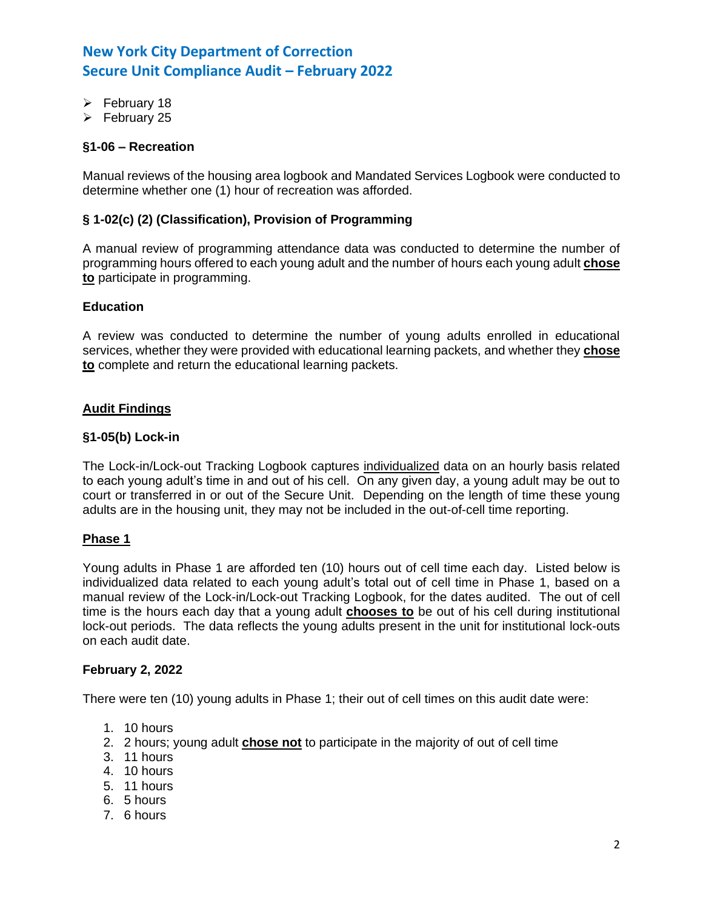- ➢ February 18
- ➢ February 25

## **§1-06 – Recreation**

Manual reviews of the housing area logbook and Mandated Services Logbook were conducted to determine whether one (1) hour of recreation was afforded.

## **§ 1-02(c) (2) (Classification), Provision of Programming**

A manual review of programming attendance data was conducted to determine the number of programming hours offered to each young adult and the number of hours each young adult **chose to** participate in programming.

### **Education**

A review was conducted to determine the number of young adults enrolled in educational services, whether they were provided with educational learning packets, and whether they **chose to** complete and return the educational learning packets.

## **Audit Findings**

### **§1-05(b) Lock-in**

The Lock-in/Lock-out Tracking Logbook captures individualized data on an hourly basis related to each young adult's time in and out of his cell. On any given day, a young adult may be out to court or transferred in or out of the Secure Unit. Depending on the length of time these young adults are in the housing unit, they may not be included in the out-of-cell time reporting.

### **Phase 1**

Young adults in Phase 1 are afforded ten (10) hours out of cell time each day. Listed below is individualized data related to each young adult's total out of cell time in Phase 1, based on a manual review of the Lock-in/Lock-out Tracking Logbook, for the dates audited. The out of cell time is the hours each day that a young adult **chooses to** be out of his cell during institutional lock-out periods. The data reflects the young adults present in the unit for institutional lock-outs on each audit date.

### **February 2, 2022**

There were ten (10) young adults in Phase 1; their out of cell times on this audit date were:

- 1. 10 hours
- 2. 2 hours; young adult **chose not** to participate in the majority of out of cell time
- 3. 11 hours
- 4. 10 hours
- 5. 11 hours
- 6. 5 hours
- 7. 6 hours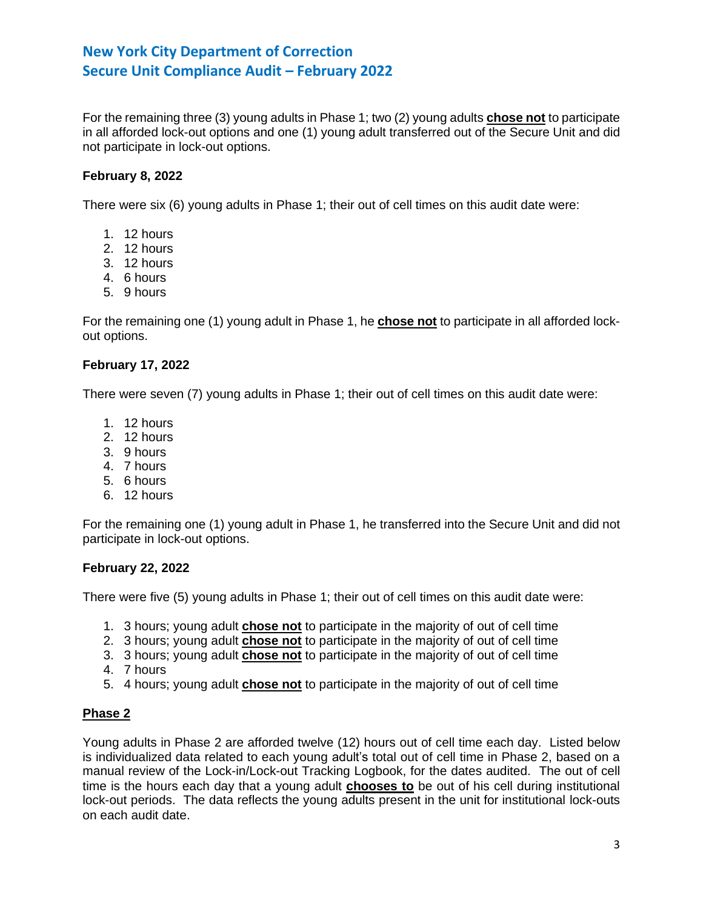For the remaining three (3) young adults in Phase 1; two (2) young adults **chose not** to participate in all afforded lock-out options and one (1) young adult transferred out of the Secure Unit and did not participate in lock-out options.

## **February 8, 2022**

There were six (6) young adults in Phase 1; their out of cell times on this audit date were:

- 1. 12 hours
- 2. 12 hours
- 3. 12 hours
- 4. 6 hours
- 5. 9 hours

For the remaining one (1) young adult in Phase 1, he **chose not** to participate in all afforded lockout options.

### **February 17, 2022**

There were seven (7) young adults in Phase 1; their out of cell times on this audit date were:

- 1. 12 hours
- 2. 12 hours
- 3. 9 hours
- 4. 7 hours
- 5. 6 hours
- 6. 12 hours

For the remaining one (1) young adult in Phase 1, he transferred into the Secure Unit and did not participate in lock-out options.

## **February 22, 2022**

There were five (5) young adults in Phase 1; their out of cell times on this audit date were:

- 1. 3 hours; young adult **chose not** to participate in the majority of out of cell time
- 2. 3 hours; young adult **chose not** to participate in the majority of out of cell time
- 3. 3 hours; young adult **chose not** to participate in the majority of out of cell time
- 4. 7 hours
- 5. 4 hours; young adult **chose not** to participate in the majority of out of cell time

## **Phase 2**

Young adults in Phase 2 are afforded twelve (12) hours out of cell time each day. Listed below is individualized data related to each young adult's total out of cell time in Phase 2, based on a manual review of the Lock-in/Lock-out Tracking Logbook, for the dates audited. The out of cell time is the hours each day that a young adult **chooses to** be out of his cell during institutional lock-out periods. The data reflects the young adults present in the unit for institutional lock-outs on each audit date.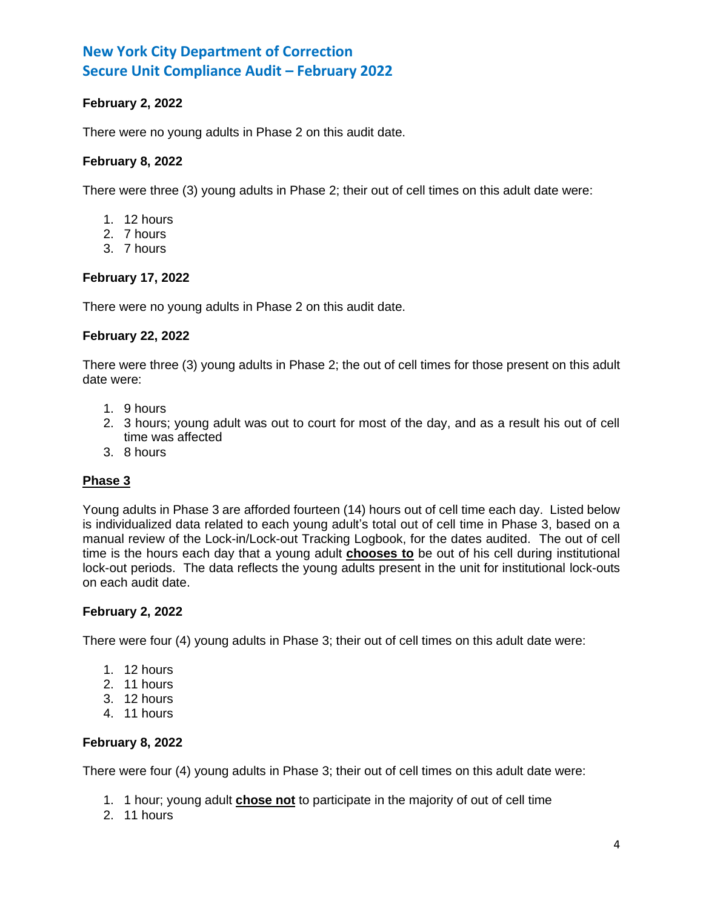## **February 2, 2022**

There were no young adults in Phase 2 on this audit date.

## **February 8, 2022**

There were three (3) young adults in Phase 2; their out of cell times on this adult date were:

- 1. 12 hours
- 2. 7 hours
- 3. 7 hours

## **February 17, 2022**

There were no young adults in Phase 2 on this audit date.

### **February 22, 2022**

There were three (3) young adults in Phase 2; the out of cell times for those present on this adult date were:

- 1. 9 hours
- 2. 3 hours; young adult was out to court for most of the day, and as a result his out of cell time was affected
- 3. 8 hours

## **Phase 3**

Young adults in Phase 3 are afforded fourteen (14) hours out of cell time each day. Listed below is individualized data related to each young adult's total out of cell time in Phase 3, based on a manual review of the Lock-in/Lock-out Tracking Logbook, for the dates audited. The out of cell time is the hours each day that a young adult **chooses to** be out of his cell during institutional lock-out periods. The data reflects the young adults present in the unit for institutional lock-outs on each audit date.

## **February 2, 2022**

There were four (4) young adults in Phase 3; their out of cell times on this adult date were:

- 1. 12 hours
- 2. 11 hours
- 3. 12 hours
- 4. 11 hours

## **February 8, 2022**

There were four (4) young adults in Phase 3; their out of cell times on this adult date were:

- 1. 1 hour; young adult **chose not** to participate in the majority of out of cell time
- 2. 11 hours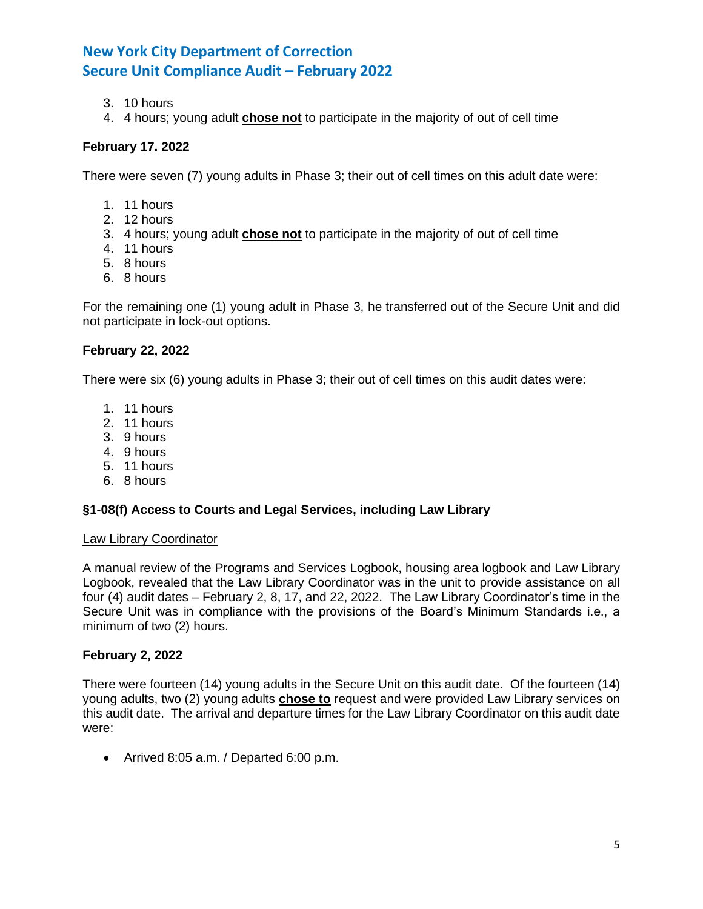- 3. 10 hours
- 4. 4 hours; young adult **chose not** to participate in the majority of out of cell time

### **February 17. 2022**

There were seven (7) young adults in Phase 3; their out of cell times on this adult date were:

- 1. 11 hours
- 2. 12 hours
- 3. 4 hours; young adult **chose not** to participate in the majority of out of cell time
- 4. 11 hours
- 5. 8 hours
- 6. 8 hours

For the remaining one (1) young adult in Phase 3, he transferred out of the Secure Unit and did not participate in lock-out options.

### **February 22, 2022**

There were six (6) young adults in Phase 3; their out of cell times on this audit dates were:

- 1. 11 hours
- 2. 11 hours
- 3. 9 hours
- 4. 9 hours
- 5. 11 hours
- 6. 8 hours

## **§1-08(f) Access to Courts and Legal Services, including Law Library**

### Law Library Coordinator

A manual review of the Programs and Services Logbook, housing area logbook and Law Library Logbook, revealed that the Law Library Coordinator was in the unit to provide assistance on all four (4) audit dates – February 2, 8, 17, and 22, 2022. The Law Library Coordinator's time in the Secure Unit was in compliance with the provisions of the Board's Minimum Standards i.e., a minimum of two (2) hours.

### **February 2, 2022**

There were fourteen (14) young adults in the Secure Unit on this audit date. Of the fourteen (14) young adults, two (2) young adults **chose to** request and were provided Law Library services on this audit date. The arrival and departure times for the Law Library Coordinator on this audit date were:

• Arrived 8:05 a.m. / Departed 6:00 p.m.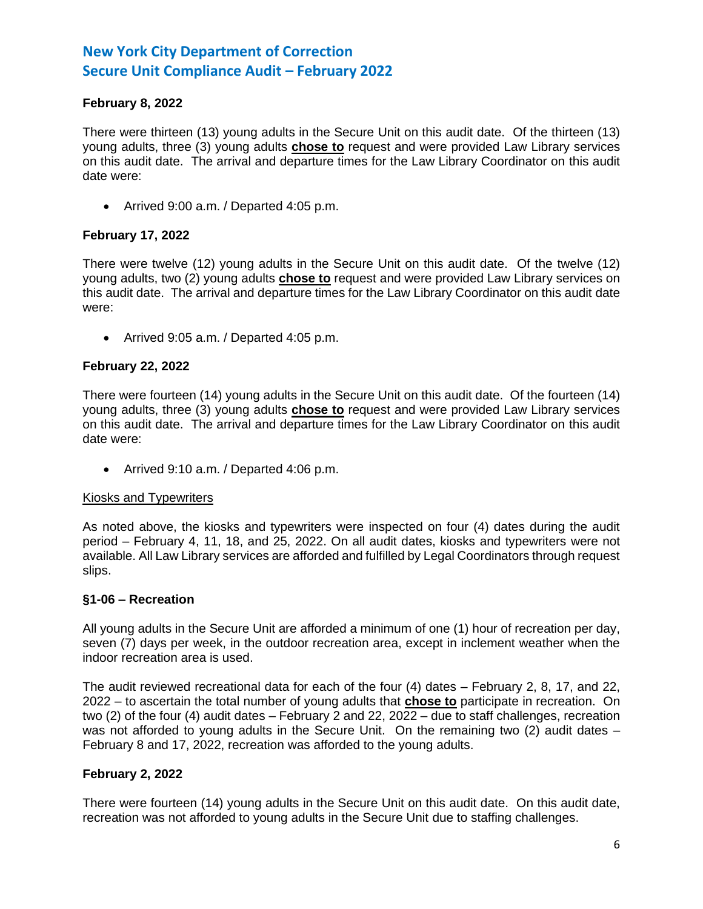## **February 8, 2022**

There were thirteen (13) young adults in the Secure Unit on this audit date. Of the thirteen (13) young adults, three (3) young adults **chose to** request and were provided Law Library services on this audit date. The arrival and departure times for the Law Library Coordinator on this audit date were:

• Arrived 9:00 a.m. / Departed 4:05 p.m.

## **February 17, 2022**

There were twelve (12) young adults in the Secure Unit on this audit date. Of the twelve (12) young adults, two (2) young adults **chose to** request and were provided Law Library services on this audit date. The arrival and departure times for the Law Library Coordinator on this audit date were:

• Arrived 9:05 a.m. / Departed 4:05 p.m.

## **February 22, 2022**

There were fourteen (14) young adults in the Secure Unit on this audit date. Of the fourteen (14) young adults, three (3) young adults **chose to** request and were provided Law Library services on this audit date. The arrival and departure times for the Law Library Coordinator on this audit date were:

• Arrived 9:10 a.m. / Departed 4:06 p.m.

## Kiosks and Typewriters

As noted above, the kiosks and typewriters were inspected on four (4) dates during the audit period – February 4, 11, 18, and 25, 2022. On all audit dates, kiosks and typewriters were not available. All Law Library services are afforded and fulfilled by Legal Coordinators through request slips.

### **§1-06 – Recreation**

All young adults in the Secure Unit are afforded a minimum of one (1) hour of recreation per day, seven (7) days per week, in the outdoor recreation area, except in inclement weather when the indoor recreation area is used.

The audit reviewed recreational data for each of the four (4) dates – February 2, 8, 17, and 22, 2022 – to ascertain the total number of young adults that **chose to** participate in recreation. On two (2) of the four (4) audit dates – February 2 and 22, 2022 – due to staff challenges, recreation was not afforded to young adults in the Secure Unit. On the remaining two (2) audit dates – February 8 and 17, 2022, recreation was afforded to the young adults.

## **February 2, 2022**

There were fourteen (14) young adults in the Secure Unit on this audit date. On this audit date, recreation was not afforded to young adults in the Secure Unit due to staffing challenges.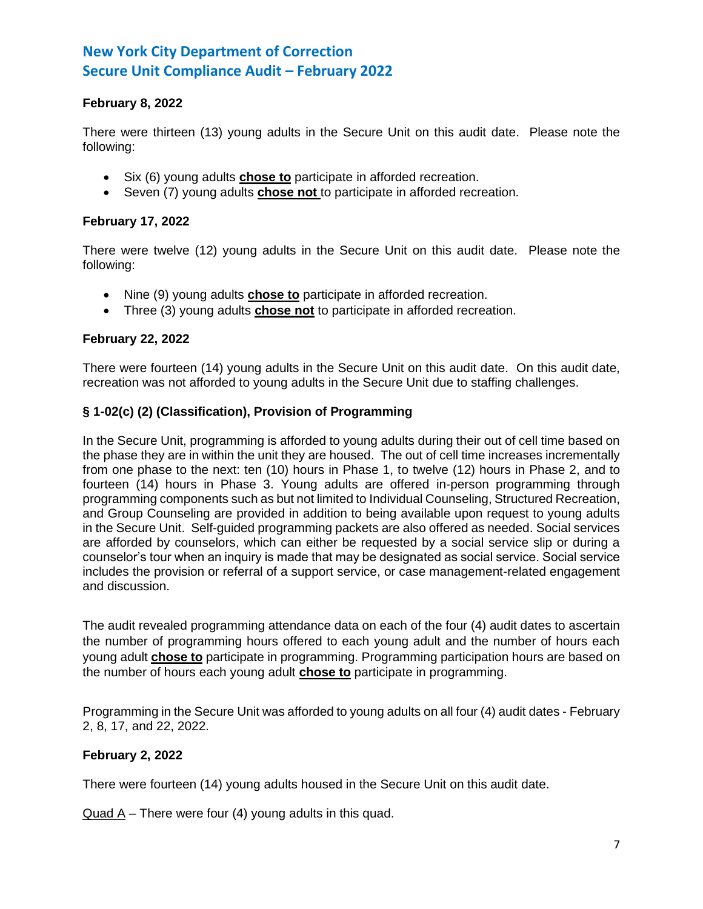## **February 8, 2022**

There were thirteen (13) young adults in the Secure Unit on this audit date. Please note the following:

- Six (6) young adults **chose to** participate in afforded recreation.
- Seven (7) young adults **chose not** to participate in afforded recreation.

## **February 17, 2022**

There were twelve (12) young adults in the Secure Unit on this audit date. Please note the following:

- Nine (9) young adults **chose to** participate in afforded recreation.
- Three (3) young adults **chose not** to participate in afforded recreation.

## **February 22, 2022**

There were fourteen (14) young adults in the Secure Unit on this audit date. On this audit date, recreation was not afforded to young adults in the Secure Unit due to staffing challenges.

## **§ 1-02(c) (2) (Classification), Provision of Programming**

In the Secure Unit, programming is afforded to young adults during their out of cell time based on the phase they are in within the unit they are housed. The out of cell time increases incrementally from one phase to the next: ten (10) hours in Phase 1, to twelve (12) hours in Phase 2, and to fourteen (14) hours in Phase 3. Young adults are offered in-person programming through programming components such as but not limited to Individual Counseling, Structured Recreation, and Group Counseling are provided in addition to being available upon request to young adults in the Secure Unit. Self-guided programming packets are also offered as needed. Social services are afforded by counselors, which can either be requested by a social service slip or during a counselor's tour when an inquiry is made that may be designated as social service. Social service includes the provision or referral of a support service, or case management-related engagement and discussion.

The audit revealed programming attendance data on each of the four (4) audit dates to ascertain the number of programming hours offered to each young adult and the number of hours each young adult **chose to** participate in programming. Programming participation hours are based on the number of hours each young adult **chose to** participate in programming.

Programming in the Secure Unit was afforded to young adults on all four (4) audit dates - February 2, 8, 17, and 22, 2022.

## **February 2, 2022**

There were fourteen (14) young adults housed in the Secure Unit on this audit date.

Quad  $A$  – There were four (4) young adults in this quad.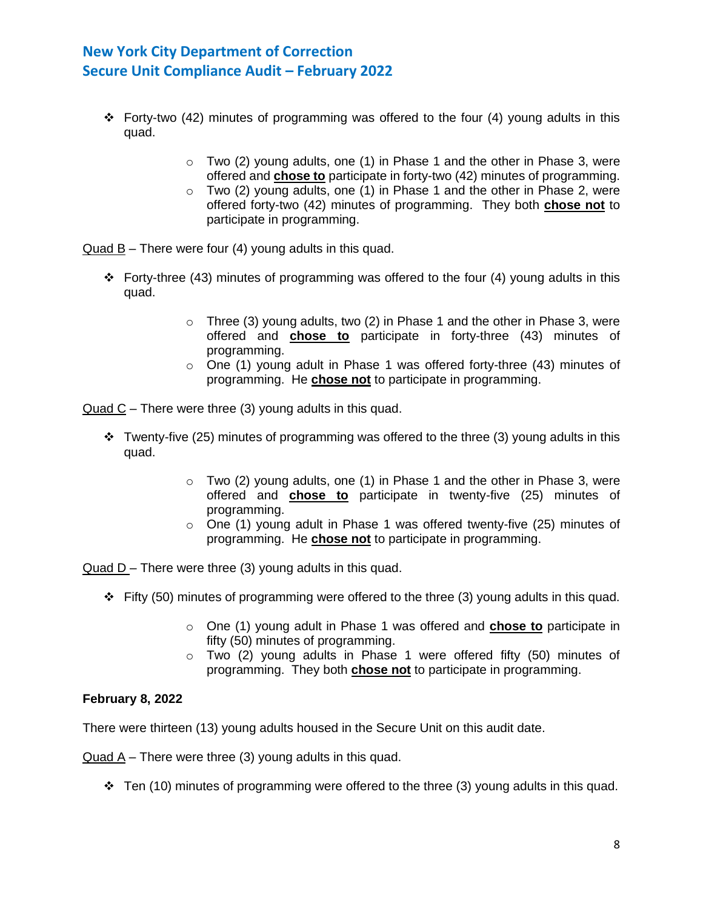- $\div$  Forty-two (42) minutes of programming was offered to the four (4) young adults in this quad.
	- $\circ$  Two (2) young adults, one (1) in Phase 1 and the other in Phase 3, were offered and **chose to** participate in forty-two (42) minutes of programming.
	- o Two (2) young adults, one (1) in Phase 1 and the other in Phase 2, were offered forty-two (42) minutes of programming. They both **chose not** to participate in programming.

Quad B – There were four (4) young adults in this quad.

- $\div$  Forty-three (43) minutes of programming was offered to the four (4) young adults in this quad.
	- $\circ$  Three (3) young adults, two (2) in Phase 1 and the other in Phase 3, were offered and **chose to** participate in forty-three (43) minutes of programming.
	- o One (1) young adult in Phase 1 was offered forty-three (43) minutes of programming. He **chose not** to participate in programming.

Quad C – There were three (3) young adults in this quad.

- $\div$  Twenty-five (25) minutes of programming was offered to the three (3) young adults in this quad.
	- $\circ$  Two (2) young adults, one (1) in Phase 1 and the other in Phase 3, were offered and **chose to** participate in twenty-five (25) minutes of programming.
	- $\circ$  One (1) young adult in Phase 1 was offered twenty-five (25) minutes of programming. He **chose not** to participate in programming.

Quad  $D$  – There were three (3) young adults in this quad.

- $\div$  Fifty (50) minutes of programming were offered to the three (3) young adults in this quad.
	- o One (1) young adult in Phase 1 was offered and **chose to** participate in fifty (50) minutes of programming.
	- o Two (2) young adults in Phase 1 were offered fifty (50) minutes of programming. They both **chose not** to participate in programming.

## **February 8, 2022**

There were thirteen (13) young adults housed in the Secure Unit on this audit date.

Quad A – There were three (3) young adults in this quad.

 $\div$  Ten (10) minutes of programming were offered to the three (3) young adults in this quad.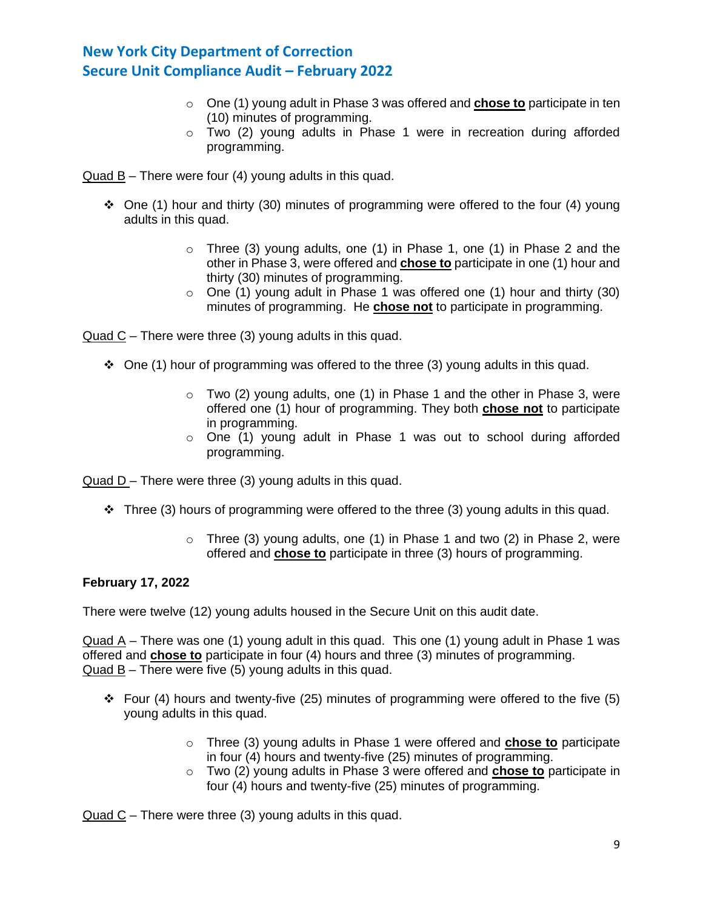- o One (1) young adult in Phase 3 was offered and **chose to** participate in ten (10) minutes of programming.
- o Two (2) young adults in Phase 1 were in recreation during afforded programming.

Quad B – There were four (4) young adults in this quad.

- ❖ One (1) hour and thirty (30) minutes of programming were offered to the four (4) young adults in this quad.
	- $\circ$  Three (3) young adults, one (1) in Phase 1, one (1) in Phase 2 and the other in Phase 3, were offered and **chose to** participate in one (1) hour and thirty (30) minutes of programming.
	- o One (1) young adult in Phase 1 was offered one (1) hour and thirty (30) minutes of programming. He **chose not** to participate in programming.

Quad C – There were three (3) young adults in this quad.

- $\div$  One (1) hour of programming was offered to the three (3) young adults in this quad.
	- $\circ$  Two (2) young adults, one (1) in Phase 1 and the other in Phase 3, were offered one (1) hour of programming. They both **chose not** to participate in programming.
	- $\circ$  One (1) young adult in Phase 1 was out to school during afforded programming.

Quad D – There were three (3) young adults in this quad.

- ❖ Three (3) hours of programming were offered to the three (3) young adults in this quad.
	- $\circ$  Three (3) young adults, one (1) in Phase 1 and two (2) in Phase 2, were offered and **chose to** participate in three (3) hours of programming.

### **February 17, 2022**

There were twelve (12) young adults housed in the Secure Unit on this audit date.

Quad A – There was one (1) young adult in this quad. This one (1) young adult in Phase 1 was offered and **chose to** participate in four (4) hours and three (3) minutes of programming. Quad B – There were five (5) young adults in this quad.

- ❖ Four (4) hours and twenty-five (25) minutes of programming were offered to the five (5) young adults in this quad.
	- o Three (3) young adults in Phase 1 were offered and **chose to** participate in four (4) hours and twenty-five (25) minutes of programming.
	- o Two (2) young adults in Phase 3 were offered and **chose to** participate in four (4) hours and twenty-five (25) minutes of programming.

Quad C – There were three (3) young adults in this quad.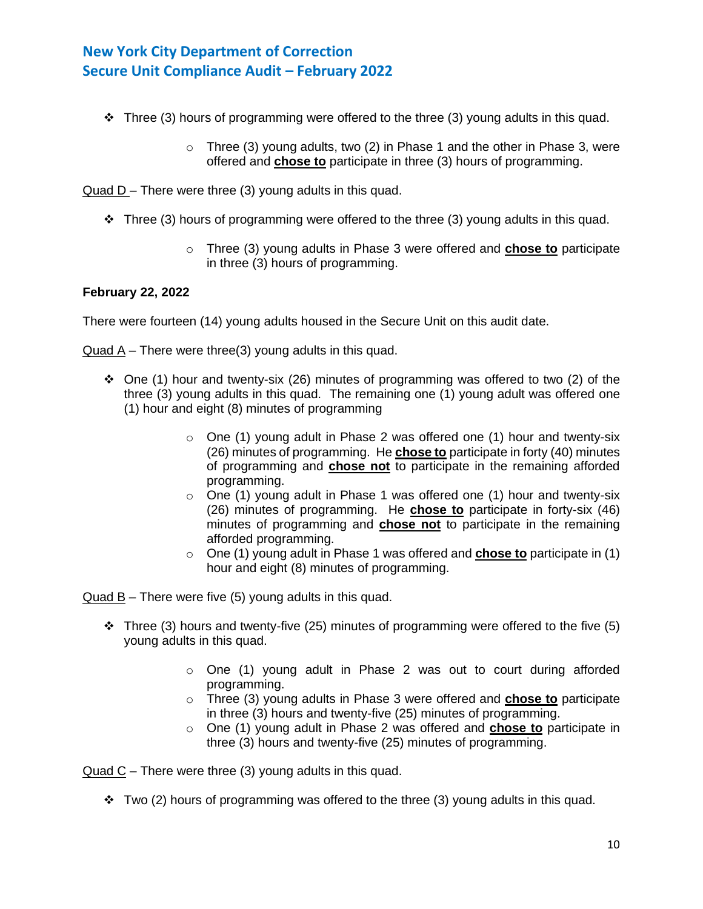- $\div$  Three (3) hours of programming were offered to the three (3) young adults in this quad.
	- $\circ$  Three (3) young adults, two (2) in Phase 1 and the other in Phase 3, were offered and **chose to** participate in three (3) hours of programming.

Quad D – There were three (3) young adults in this quad.

- $\div$  Three (3) hours of programming were offered to the three (3) young adults in this quad.
	- o Three (3) young adults in Phase 3 were offered and **chose to** participate in three (3) hours of programming.

### **February 22, 2022**

There were fourteen (14) young adults housed in the Secure Unit on this audit date.

Quad A – There were three(3) young adults in this quad.

- One (1) hour and twenty-six (26) minutes of programming was offered to two (2) of the three (3) young adults in this quad. The remaining one (1) young adult was offered one (1) hour and eight (8) minutes of programming
	- $\circ$  One (1) young adult in Phase 2 was offered one (1) hour and twenty-six (26) minutes of programming. He **chose to** participate in forty (40) minutes of programming and **chose not** to participate in the remaining afforded programming.
	- o One (1) young adult in Phase 1 was offered one (1) hour and twenty-six (26) minutes of programming. He **chose to** participate in forty-six (46) minutes of programming and **chose not** to participate in the remaining afforded programming.
	- o One (1) young adult in Phase 1 was offered and **chose to** participate in (1) hour and eight (8) minutes of programming.

Quad B – There were five (5) young adults in this quad.

- ❖ Three (3) hours and twenty-five (25) minutes of programming were offered to the five (5) young adults in this quad.
	- o One (1) young adult in Phase 2 was out to court during afforded programming.
	- o Three (3) young adults in Phase 3 were offered and **chose to** participate in three (3) hours and twenty-five (25) minutes of programming.
	- o One (1) young adult in Phase 2 was offered and **chose to** participate in three (3) hours and twenty-five (25) minutes of programming.

Quad C – There were three (3) young adults in this quad.

 $\div$  Two (2) hours of programming was offered to the three (3) young adults in this quad.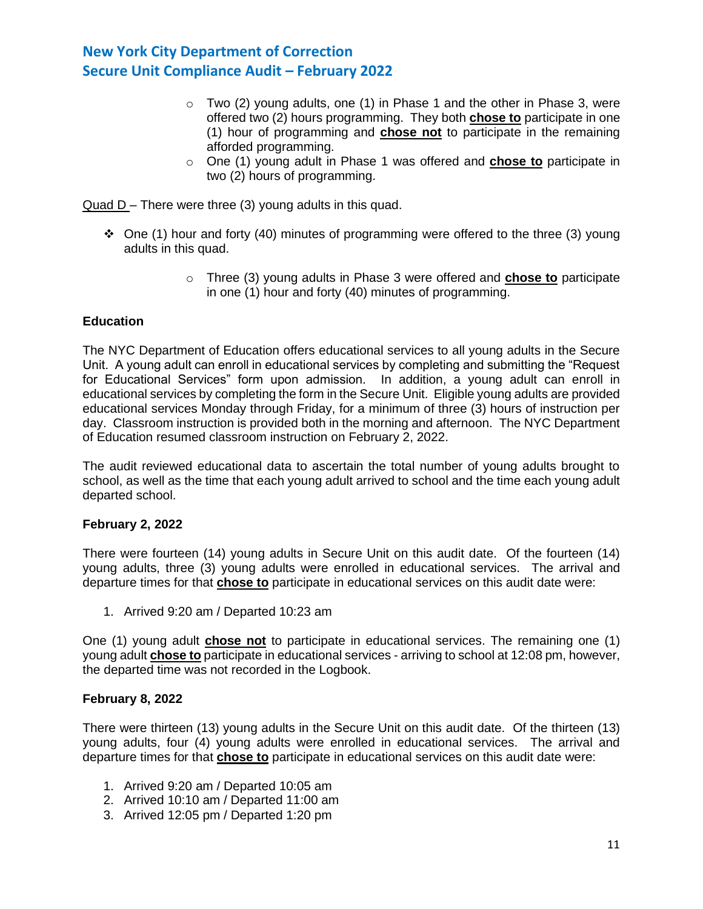- $\circ$  Two (2) young adults, one (1) in Phase 1 and the other in Phase 3, were offered two (2) hours programming. They both **chose to** participate in one (1) hour of programming and **chose not** to participate in the remaining afforded programming.
- o One (1) young adult in Phase 1 was offered and **chose to** participate in two (2) hours of programming.

Quad D – There were three (3) young adults in this quad.

- ◆ One (1) hour and forty (40) minutes of programming were offered to the three (3) young adults in this quad.
	- o Three (3) young adults in Phase 3 were offered and **chose to** participate in one (1) hour and forty (40) minutes of programming.

### **Education**

The NYC Department of Education offers educational services to all young adults in the Secure Unit. A young adult can enroll in educational services by completing and submitting the "Request for Educational Services" form upon admission. In addition, a young adult can enroll in educational services by completing the form in the Secure Unit. Eligible young adults are provided educational services Monday through Friday, for a minimum of three (3) hours of instruction per day. Classroom instruction is provided both in the morning and afternoon. The NYC Department of Education resumed classroom instruction on February 2, 2022.

The audit reviewed educational data to ascertain the total number of young adults brought to school, as well as the time that each young adult arrived to school and the time each young adult departed school.

### **February 2, 2022**

There were fourteen (14) young adults in Secure Unit on this audit date. Of the fourteen (14) young adults, three (3) young adults were enrolled in educational services. The arrival and departure times for that **chose to** participate in educational services on this audit date were:

1. Arrived 9:20 am / Departed 10:23 am

One (1) young adult **chose not** to participate in educational services. The remaining one (1) young adult **chose to** participate in educational services - arriving to school at 12:08 pm, however, the departed time was not recorded in the Logbook.

### **February 8, 2022**

There were thirteen (13) young adults in the Secure Unit on this audit date. Of the thirteen (13) young adults, four (4) young adults were enrolled in educational services. The arrival and departure times for that **chose to** participate in educational services on this audit date were:

- 1. Arrived 9:20 am / Departed 10:05 am
- 2. Arrived 10:10 am / Departed 11:00 am
- 3. Arrived 12:05 pm / Departed 1:20 pm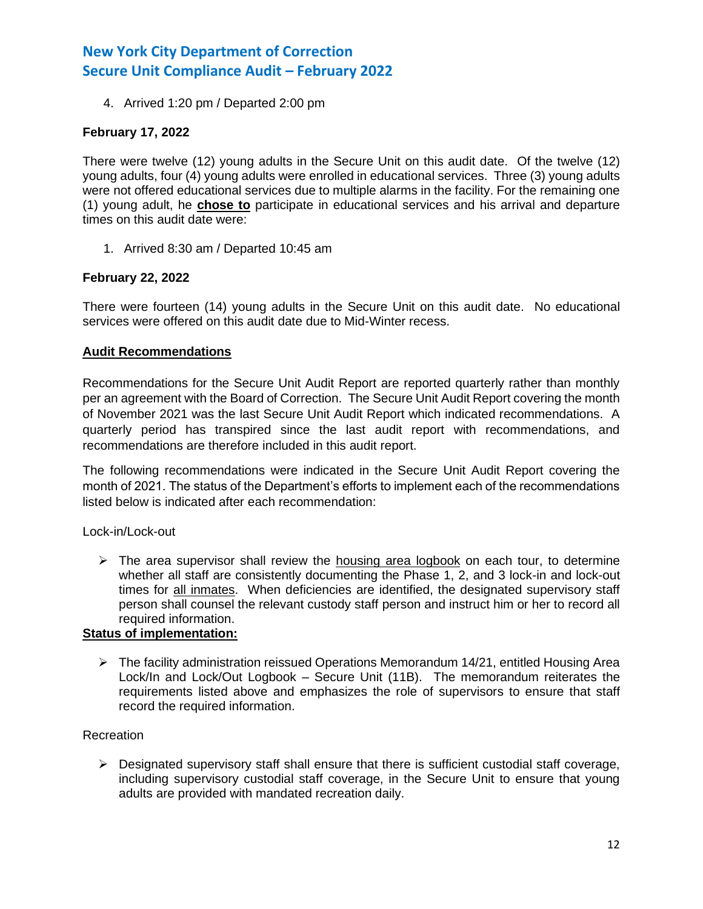4. Arrived 1:20 pm / Departed 2:00 pm

## **February 17, 2022**

There were twelve (12) young adults in the Secure Unit on this audit date. Of the twelve (12) young adults, four (4) young adults were enrolled in educational services. Three (3) young adults were not offered educational services due to multiple alarms in the facility. For the remaining one (1) young adult, he **chose to** participate in educational services and his arrival and departure times on this audit date were:

1. Arrived 8:30 am / Departed 10:45 am

## **February 22, 2022**

There were fourteen (14) young adults in the Secure Unit on this audit date. No educational services were offered on this audit date due to Mid-Winter recess.

### **Audit Recommendations**

Recommendations for the Secure Unit Audit Report are reported quarterly rather than monthly per an agreement with the Board of Correction. The Secure Unit Audit Report covering the month of November 2021 was the last Secure Unit Audit Report which indicated recommendations. A quarterly period has transpired since the last audit report with recommendations, and recommendations are therefore included in this audit report.

The following recommendations were indicated in the Secure Unit Audit Report covering the month of 2021. The status of the Department's efforts to implement each of the recommendations listed below is indicated after each recommendation:

### Lock-in/Lock-out

 $\triangleright$  The area supervisor shall review the housing area logbook on each tour, to determine whether all staff are consistently documenting the Phase 1, 2, and 3 lock-in and lock-out times for all inmates. When deficiencies are identified, the designated supervisory staff person shall counsel the relevant custody staff person and instruct him or her to record all required information.

### **Status of implementation:**

 $\triangleright$  The facility administration reissued Operations Memorandum 14/21, entitled Housing Area Lock/In and Lock/Out Logbook – Secure Unit (11B). The memorandum reiterates the requirements listed above and emphasizes the role of supervisors to ensure that staff record the required information.

### Recreation

 $\triangleright$  Designated supervisory staff shall ensure that there is sufficient custodial staff coverage, including supervisory custodial staff coverage, in the Secure Unit to ensure that young adults are provided with mandated recreation daily.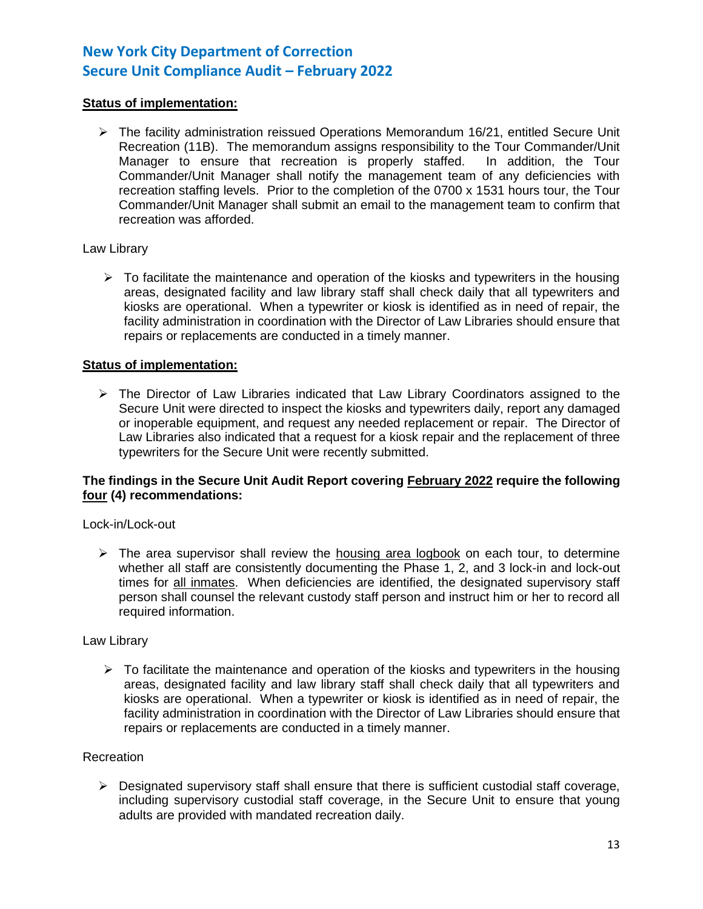## **Status of implementation:**

➢ The facility administration reissued Operations Memorandum 16/21, entitled Secure Unit Recreation (11B). The memorandum assigns responsibility to the Tour Commander/Unit Manager to ensure that recreation is properly staffed. In addition, the Tour Commander/Unit Manager shall notify the management team of any deficiencies with recreation staffing levels. Prior to the completion of the 0700 x 1531 hours tour, the Tour Commander/Unit Manager shall submit an email to the management team to confirm that recreation was afforded.

### Law Library

 $\triangleright$  To facilitate the maintenance and operation of the kiosks and typewriters in the housing areas, designated facility and law library staff shall check daily that all typewriters and kiosks are operational. When a typewriter or kiosk is identified as in need of repair, the facility administration in coordination with the Director of Law Libraries should ensure that repairs or replacements are conducted in a timely manner.

### **Status of implementation:**

 $\triangleright$  The Director of Law Libraries indicated that Law Library Coordinators assigned to the Secure Unit were directed to inspect the kiosks and typewriters daily, report any damaged or inoperable equipment, and request any needed replacement or repair. The Director of Law Libraries also indicated that a request for a kiosk repair and the replacement of three typewriters for the Secure Unit were recently submitted.

### **The findings in the Secure Unit Audit Report covering February 2022 require the following four (4) recommendations:**

### Lock-in/Lock-out

 $\triangleright$  The area supervisor shall review the housing area logbook on each tour, to determine whether all staff are consistently documenting the Phase 1, 2, and 3 lock-in and lock-out times for all inmates. When deficiencies are identified, the designated supervisory staff person shall counsel the relevant custody staff person and instruct him or her to record all required information.

### Law Library

 $\triangleright$  To facilitate the maintenance and operation of the kiosks and typewriters in the housing areas, designated facility and law library staff shall check daily that all typewriters and kiosks are operational. When a typewriter or kiosk is identified as in need of repair, the facility administration in coordination with the Director of Law Libraries should ensure that repairs or replacements are conducted in a timely manner.

### **Recreation**

 $\triangleright$  Designated supervisory staff shall ensure that there is sufficient custodial staff coverage, including supervisory custodial staff coverage, in the Secure Unit to ensure that young adults are provided with mandated recreation daily.